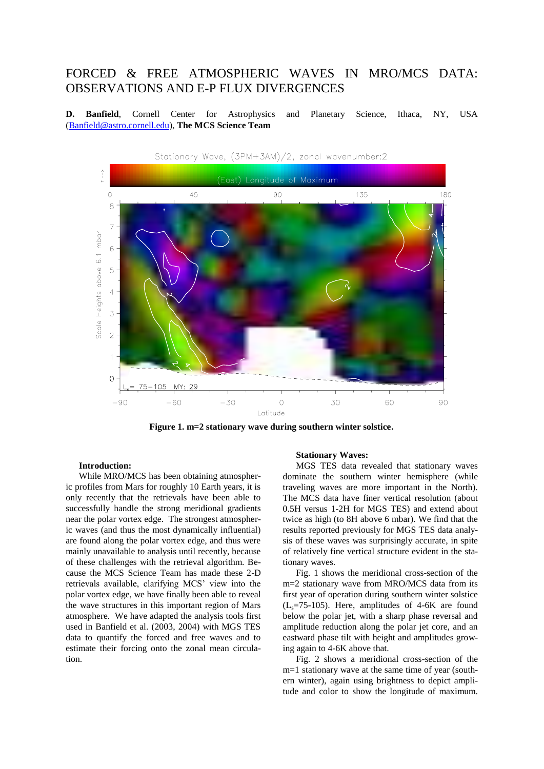## FORCED & FREE ATMOSPHERIC WAVES IN MRO/MCS DATA: OBSERVATIONS AND E-P FLUX DIVERGENCES

**D. Banfield**, Cornell Center for Astrophysics and Planetary Science, Ithaca, NY, USA [\(Banfield@astro.cornell.edu\)](mailto:Banfield@astro.cornell.edu), **The MCS Science Team**



**Figure 1. m=2 stationary wave during southern winter solstice.**

## **Introduction:**

While MRO/MCS has been obtaining atmospheric profiles from Mars for roughly 10 Earth years, it is only recently that the retrievals have been able to successfully handle the strong meridional gradients near the polar vortex edge. The strongest atmospheric waves (and thus the most dynamically influential) are found along the polar vortex edge, and thus were mainly unavailable to analysis until recently, because of these challenges with the retrieval algorithm. Because the MCS Science Team has made these 2-D retrievals available, clarifying MCS' view into the polar vortex edge, we have finally been able to reveal the wave structures in this important region of Mars atmosphere. We have adapted the analysis tools first used in Banfield et al. (2003, 2004) with MGS TES data to quantify the forced and free waves and to estimate their forcing onto the zonal mean circulation.

## **Stationary Waves:**

MGS TES data revealed that stationary waves dominate the southern winter hemisphere (while traveling waves are more important in the North). The MCS data have finer vertical resolution (about 0.5H versus 1-2H for MGS TES) and extend about twice as high (to 8H above 6 mbar). We find that the results reported previously for MGS TES data analysis of these waves was surprisingly accurate, in spite of relatively fine vertical structure evident in the stationary waves.

Fig. 1 shows the meridional cross-section of the m=2 stationary wave from MRO/MCS data from its first year of operation during southern winter solstice  $(L<sub>s</sub>=75-105)$ . Here, amplitudes of 4-6K are found below the polar jet, with a sharp phase reversal and amplitude reduction along the polar jet core, and an eastward phase tilt with height and amplitudes growing again to 4-6K above that.

Fig. 2 shows a meridional cross-section of the m=1 stationary wave at the same time of year (southern winter), again using brightness to depict amplitude and color to show the longitude of maximum.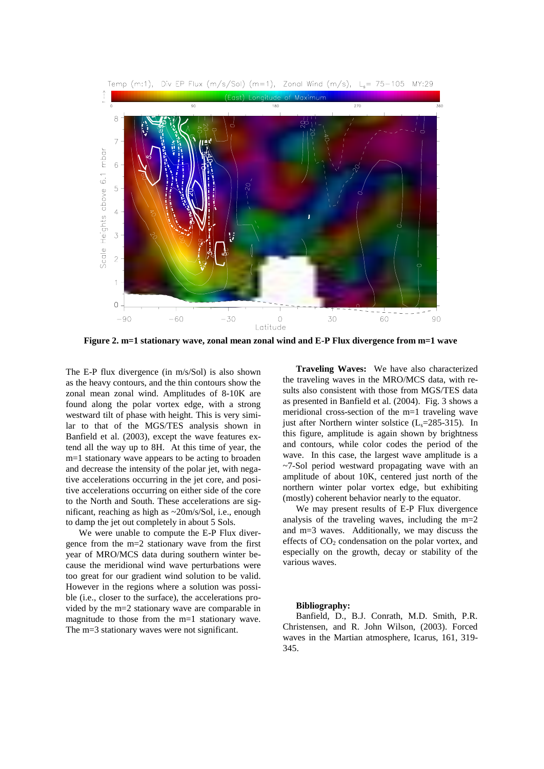

**Figure 2. m=1 stationary wave, zonal mean zonal wind and E-P Flux divergence from m=1 wave**

The E-P flux divergence (in m/s/Sol) is also shown as the heavy contours, and the thin contours show the zonal mean zonal wind. Amplitudes of 8-10K are found along the polar vortex edge, with a strong westward tilt of phase with height. This is very similar to that of the MGS/TES analysis shown in Banfield et al. (2003), except the wave features extend all the way up to 8H. At this time of year, the m=1 stationary wave appears to be acting to broaden and decrease the intensity of the polar jet, with negative accelerations occurring in the jet core, and positive accelerations occurring on either side of the core to the North and South. These accelerations are significant, reaching as high as ~20m/s/Sol, i.e., enough to damp the jet out completely in about 5 Sols.

We were unable to compute the E-P Flux divergence from the m=2 stationary wave from the first year of MRO/MCS data during southern winter because the meridional wind wave perturbations were too great for our gradient wind solution to be valid. However in the regions where a solution was possible (i.e., closer to the surface), the accelerations provided by the m=2 stationary wave are comparable in magnitude to those from the m=1 stationary wave. The m=3 stationary waves were not significant.

**Traveling Waves:** We have also characterized the traveling waves in the MRO/MCS data, with results also consistent with those from MGS/TES data as presented in Banfield et al. (2004). Fig. 3 shows a meridional cross-section of the m=1 traveling wave just after Northern winter solstice  $(L_s=285-315)$ . In this figure, amplitude is again shown by brightness and contours, while color codes the period of the wave. In this case, the largest wave amplitude is a ~7-Sol period westward propagating wave with an amplitude of about 10K, centered just north of the northern winter polar vortex edge, but exhibiting (mostly) coherent behavior nearly to the equator.

We may present results of E-P Flux divergence analysis of the traveling waves, including the m=2 and m=3 waves. Additionally, we may discuss the effects of  $CO<sub>2</sub>$  condensation on the polar vortex, and especially on the growth, decay or stability of the various waves.

## **Bibliography:**

Banfield, D., B.J. Conrath, M.D. Smith, P.R. Christensen, and R. John Wilson, (2003). Forced waves in the Martian atmosphere, Icarus, 161, 319- 345.